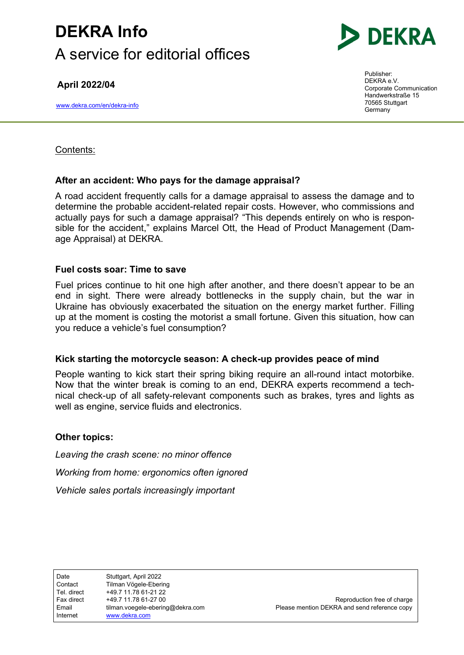# DEKRA Info A service for editorial offices

April 2022/04

www.dekra.com/en/dekra-info



Publisher: DEKRA e.V. Corporate Communication Handwerkstraße 15 70565 Stuttgart Germany

## Contents:

## After an accident: Who pays for the damage appraisal?

A road accident frequently calls for a damage appraisal to assess the damage and to determine the probable accident-related repair costs. However, who commissions and actually pays for such a damage appraisal? "This depends entirely on who is responsible for the accident," explains Marcel Ott, the Head of Product Management (Damage Appraisal) at DEKRA.

### Fuel costs soar: Time to save

Fuel prices continue to hit one high after another, and there doesn't appear to be an end in sight. There were already bottlenecks in the supply chain, but the war in Ukraine has obviously exacerbated the situation on the energy market further. Filling up at the moment is costing the motorist a small fortune. Given this situation, how can you reduce a vehicle's fuel consumption?

### Kick starting the motorcycle season: A check-up provides peace of mind

People wanting to kick start their spring biking require an all-round intact motorbike. Now that the winter break is coming to an end, DEKRA experts recommend a technical check-up of all safety-relevant components such as brakes, tyres and lights as well as engine, service fluids and electronics.

### Other topics:

Leaving the crash scene: no minor offence Working from home: ergonomics often ignored Vehicle sales portals increasingly important

Date Stuttgart, April 2022

.

Fax direct  $+49.7 11.78 61-27 00$  Reproduction free of charge Email ilman.voegele-ebering@dekra.com Please mention DEKRA and send reference copy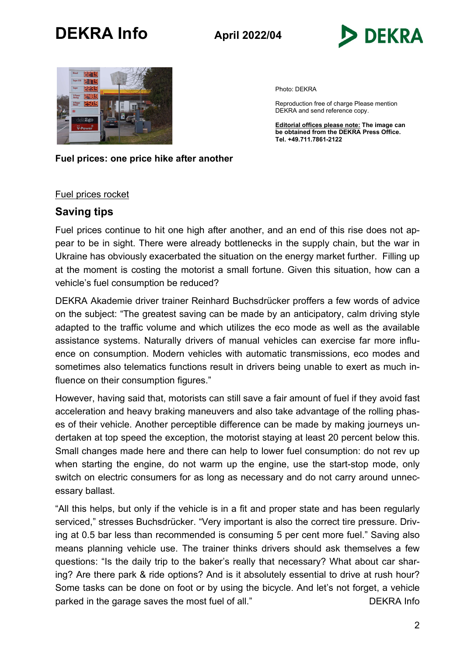



Photo: DEKRA

Reproduction free of charge Please mention DEKRA and send reference copy.

Editorial offices please note: The image can be obtained from the DEKRA Press Office. Tel. +49.711.7861-2122

#### Fuel prices: one price hike after another

#### Fuel prices rocket

### Saving tips

Fuel prices continue to hit one high after another, and an end of this rise does not appear to be in sight. There were already bottlenecks in the supply chain, but the war in Ukraine has obviously exacerbated the situation on the energy market further. Filling up at the moment is costing the motorist a small fortune. Given this situation, how can a vehicle's fuel consumption be reduced?

DEKRA Akademie driver trainer Reinhard Buchsdrücker proffers a few words of advice on the subject: "The greatest saving can be made by an anticipatory, calm driving style adapted to the traffic volume and which utilizes the eco mode as well as the available assistance systems. Naturally drivers of manual vehicles can exercise far more influence on consumption. Modern vehicles with automatic transmissions, eco modes and sometimes also telematics functions result in drivers being unable to exert as much influence on their consumption figures."

However, having said that, motorists can still save a fair amount of fuel if they avoid fast acceleration and heavy braking maneuvers and also take advantage of the rolling phases of their vehicle. Another perceptible difference can be made by making journeys undertaken at top speed the exception, the motorist staying at least 20 percent below this. Small changes made here and there can help to lower fuel consumption: do not rev up when starting the engine, do not warm up the engine, use the start-stop mode, only switch on electric consumers for as long as necessary and do not carry around unnecessary ballast.

"All this helps, but only if the vehicle is in a fit and proper state and has been regularly serviced," stresses Buchsdrücker. "Very important is also the correct tire pressure. Driving at 0.5 bar less than recommended is consuming 5 per cent more fuel." Saving also means planning vehicle use. The trainer thinks drivers should ask themselves a few questions: "Is the daily trip to the baker's really that necessary? What about car sharing? Are there park & ride options? And is it absolutely essential to drive at rush hour? Some tasks can be done on foot or by using the bicycle. And let's not forget, a vehicle parked in the garage saves the most fuel of all." DEKRA Info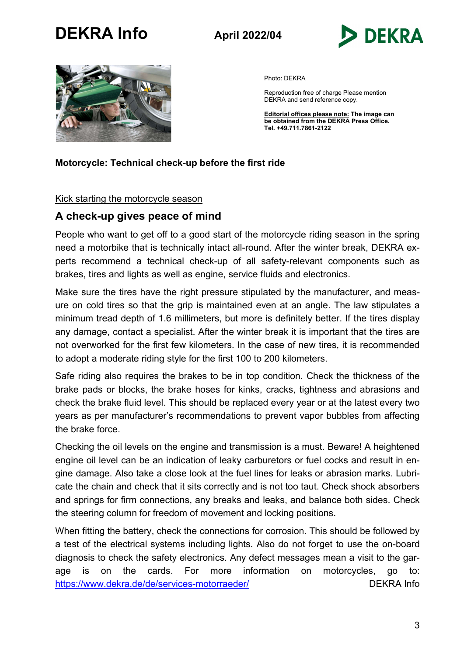



Photo: DEKRA

Reproduction free of charge Please mention DEKRA and send reference copy.

**Editorial offices please note: The image can** be obtained from the DEKRA Press Office. Tel. +49.711.7861-2122

### Motorcycle: Technical check-up before the first ride

#### Kick starting the motorcycle season

## A check-up gives peace of mind

People who want to get off to a good start of the motorcycle riding season in the spring need a motorbike that is technically intact all-round. After the winter break, DEKRA experts recommend a technical check-up of all safety-relevant components such as brakes, tires and lights as well as engine, service fluids and electronics.

Make sure the tires have the right pressure stipulated by the manufacturer, and measure on cold tires so that the grip is maintained even at an angle. The law stipulates a minimum tread depth of 1.6 millimeters, but more is definitely better. If the tires display any damage, contact a specialist. After the winter break it is important that the tires are not overworked for the first few kilometers. In the case of new tires, it is recommended to adopt a moderate riding style for the first 100 to 200 kilometers.

Safe riding also requires the brakes to be in top condition. Check the thickness of the brake pads or blocks, the brake hoses for kinks, cracks, tightness and abrasions and check the brake fluid level. This should be replaced every year or at the latest every two years as per manufacturer's recommendations to prevent vapor bubbles from affecting the brake force.

Checking the oil levels on the engine and transmission is a must. Beware! A heightened engine oil level can be an indication of leaky carburetors or fuel cocks and result in engine damage. Also take a close look at the fuel lines for leaks or abrasion marks. Lubricate the chain and check that it sits correctly and is not too taut. Check shock absorbers and springs for firm connections, any breaks and leaks, and balance both sides. Check the steering column for freedom of movement and locking positions.

When fitting the battery, check the connections for corrosion. This should be followed by a test of the electrical systems including lights. Also do not forget to use the on-board diagnosis to check the safety electronics. Any defect messages mean a visit to the garage is on the cards. For more information on motorcycles, go to: https://www.dekra.de/de/services-motorraeder/ decreases and DEKRA Info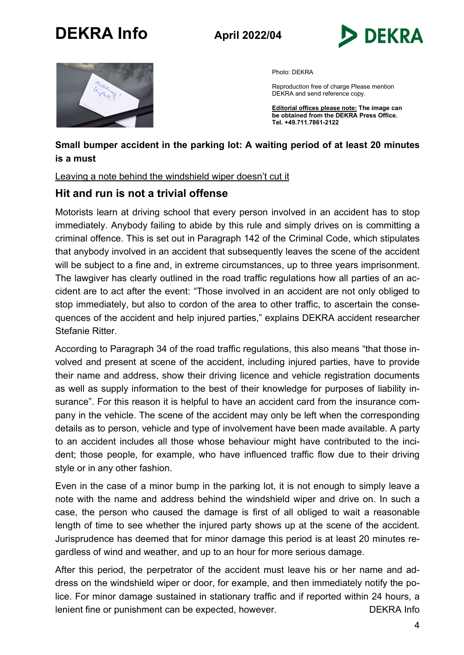



Photo: DEKRA

Reproduction free of charge Please mention DEKRA and send reference copy.

Editorial offices please note: The image can be obtained from the DEKRA Press Office. Tel. +49.711.7861-2122

## Small bumper accident in the parking lot: A waiting period of at least 20 minutes is a must

### Leaving a note behind the windshield wiper doesn't cut it

## Hit and run is not a trivial offense

Motorists learn at driving school that every person involved in an accident has to stop immediately. Anybody failing to abide by this rule and simply drives on is committing a criminal offence. This is set out in Paragraph 142 of the Criminal Code, which stipulates that anybody involved in an accident that subsequently leaves the scene of the accident will be subject to a fine and, in extreme circumstances, up to three years imprisonment. The lawgiver has clearly outlined in the road traffic regulations how all parties of an accident are to act after the event: "Those involved in an accident are not only obliged to stop immediately, but also to cordon of the area to other traffic, to ascertain the consequences of the accident and help injured parties," explains DEKRA accident researcher Stefanie Ritter.

According to Paragraph 34 of the road traffic regulations, this also means "that those involved and present at scene of the accident, including injured parties, have to provide their name and address, show their driving licence and vehicle registration documents as well as supply information to the best of their knowledge for purposes of liability insurance". For this reason it is helpful to have an accident card from the insurance company in the vehicle. The scene of the accident may only be left when the corresponding details as to person, vehicle and type of involvement have been made available. A party to an accident includes all those whose behaviour might have contributed to the incident; those people, for example, who have influenced traffic flow due to their driving style or in any other fashion.

Even in the case of a minor bump in the parking lot, it is not enough to simply leave a note with the name and address behind the windshield wiper and drive on. In such a case, the person who caused the damage is first of all obliged to wait a reasonable length of time to see whether the injured party shows up at the scene of the accident. Jurisprudence has deemed that for minor damage this period is at least 20 minutes regardless of wind and weather, and up to an hour for more serious damage.

After this period, the perpetrator of the accident must leave his or her name and address on the windshield wiper or door, for example, and then immediately notify the police. For minor damage sustained in stationary traffic and if reported within 24 hours, a lenient fine or punishment can be expected, however. DEKRA Info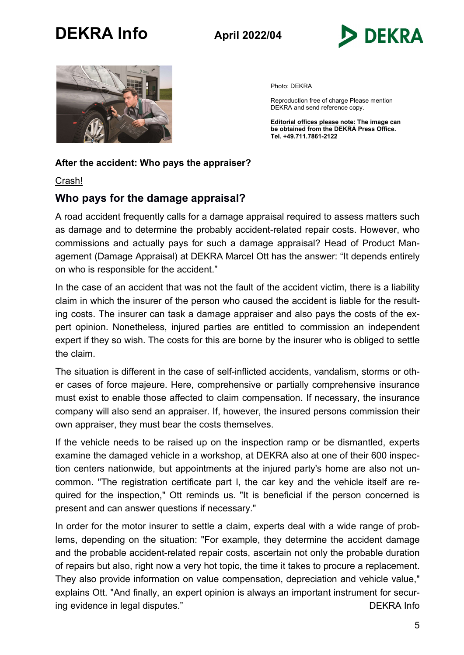



Photo: DEKRA

Reproduction free of charge Please mention DEKRA and send reference copy.

Editorial offices please note: The image can be obtained from the DEKRA Press Office. Tel. +49.711.7861-2122

### After the accident: Who pays the appraiser?

Crash!

## Who pays for the damage appraisal?

A road accident frequently calls for a damage appraisal required to assess matters such as damage and to determine the probably accident-related repair costs. However, who commissions and actually pays for such a damage appraisal? Head of Product Management (Damage Appraisal) at DEKRA Marcel Ott has the answer: "It depends entirely on who is responsible for the accident."

In the case of an accident that was not the fault of the accident victim, there is a liability claim in which the insurer of the person who caused the accident is liable for the resulting costs. The insurer can task a damage appraiser and also pays the costs of the expert opinion. Nonetheless, injured parties are entitled to commission an independent expert if they so wish. The costs for this are borne by the insurer who is obliged to settle the claim.

The situation is different in the case of self-inflicted accidents, vandalism, storms or other cases of force majeure. Here, comprehensive or partially comprehensive insurance must exist to enable those affected to claim compensation. If necessary, the insurance company will also send an appraiser. If, however, the insured persons commission their own appraiser, they must bear the costs themselves.

If the vehicle needs to be raised up on the inspection ramp or be dismantled, experts examine the damaged vehicle in a workshop, at DEKRA also at one of their 600 inspection centers nationwide, but appointments at the injured party's home are also not uncommon. "The registration certificate part I, the car key and the vehicle itself are required for the inspection," Ott reminds us. "It is beneficial if the person concerned is present and can answer questions if necessary."

In order for the motor insurer to settle a claim, experts deal with a wide range of problems, depending on the situation: "For example, they determine the accident damage and the probable accident-related repair costs, ascertain not only the probable duration of repairs but also, right now a very hot topic, the time it takes to procure a replacement. They also provide information on value compensation, depreciation and vehicle value," explains Ott. "And finally, an expert opinion is always an important instrument for securing evidence in legal disputes." The contract of the contract of the DEKRA Info